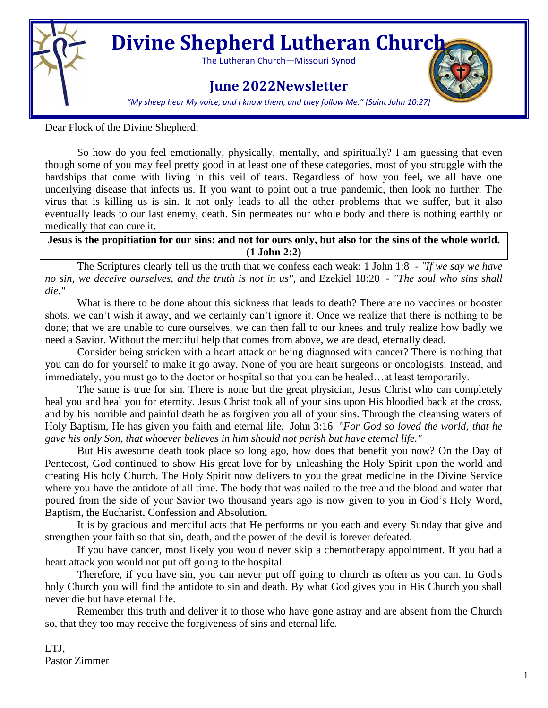

# **Divine Shepherd Lutheran Church**

The Lutheran Church—Missouri Synod

# **June 2022Newsletter**



*"My sheep hear My voice, and I know them, and they follow Me." [Saint John 10:27]*

Dear Flock of the Divine Shepherd:

So how do you feel emotionally, physically, mentally, and spiritually? I am guessing that even though some of you may feel pretty good in at least one of these categories, most of you struggle with the hardships that come with living in this veil of tears. Regardless of how you feel, we all have one underlying disease that infects us. If you want to point out a true pandemic, then look no further. The virus that is killing us is sin. It not only leads to all the other problems that we suffer, but it also eventually leads to our last enemy, death. Sin permeates our whole body and there is nothing earthly or medically that can cure it.

**Jesus is the propitiation for our sins: and not for ours only, but also for the sins of the whole world. (1 John 2:2)**

The Scriptures clearly tell us the truth that we confess each weak: 1 John 1:8 - *"If we say we have no sin, we deceive ourselves, and the truth is not in us",* and Ezekiel 18:20 - *"The soul who sins shall die."*

What is there to be done about this sickness that leads to death? There are no vaccines or booster shots, we can't wish it away, and we certainly can't ignore it. Once we realize that there is nothing to be done; that we are unable to cure ourselves, we can then fall to our knees and truly realize how badly we need a Savior. Without the merciful help that comes from above, we are dead, eternally dead.

Consider being stricken with a heart attack or being diagnosed with cancer? There is nothing that you can do for yourself to make it go away. None of you are heart surgeons or oncologists. Instead, and immediately, you must go to the doctor or hospital so that you can be healed…at least temporarily.

The same is true for sin. There is none but the great physician, Jesus Christ who can completely heal you and heal you for eternity. Jesus Christ took all of your sins upon His bloodied back at the cross, and by his horrible and painful death he as forgiven you all of your sins. Through the cleansing waters of Holy Baptism, He has given you faith and eternal life. John 3:16 *"For God so loved the world, that he gave his only Son, that whoever believes in him should not perish but have eternal life."*

But His awesome death took place so long ago, how does that benefit you now? On the Day of Pentecost, God continued to show His great love for by unleashing the Holy Spirit upon the world and creating His holy Church. The Holy Spirit now delivers to you the great medicine in the Divine Service where you have the antidote of all time. The body that was nailed to the tree and the blood and water that poured from the side of your Savior two thousand years ago is now given to you in God's Holy Word, Baptism, the Eucharist, Confession and Absolution.

It is by gracious and merciful acts that He performs on you each and every Sunday that give and strengthen your faith so that sin, death, and the power of the devil is forever defeated.

If you have cancer, most likely you would never skip a chemotherapy appointment. If you had a heart attack you would not put off going to the hospital.

Therefore, if you have sin, you can never put off going to church as often as you can. In God's holy Church you will find the antidote to sin and death. By what God gives you in His Church you shall never die but have eternal life.

Remember this truth and deliver it to those who have gone astray and are absent from the Church so, that they too may receive the forgiveness of sins and eternal life.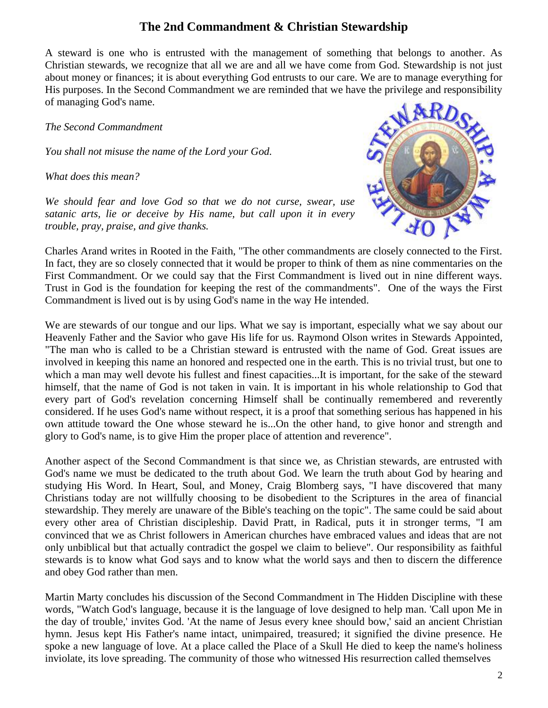## **The 2nd Commandment & Christian Stewardship**

A steward is one who is entrusted with the management of something that belongs to another. As Christian stewards, we recognize that all we are and all we have come from God. Stewardship is not just about money or finances; it is about everything God entrusts to our care. We are to manage everything for His purposes. In the Second Commandment we are reminded that we have the privilege and responsibility of managing God's name.

*The Second Commandment*

*You shall not misuse the name of the Lord your God.*

*What does this mean?*

*We should fear and love God so that we do not curse, swear, use satanic arts, lie or deceive by His name, but call upon it in every trouble, pray, praise, and give thanks.*



Charles Arand writes in Rooted in the Faith, "The other commandments are closely connected to the First. In fact, they are so closely connected that it would be proper to think of them as nine commentaries on the First Commandment. Or we could say that the First Commandment is lived out in nine different ways. Trust in God is the foundation for keeping the rest of the commandments". One of the ways the First Commandment is lived out is by using God's name in the way He intended.

We are stewards of our tongue and our lips. What we say is important, especially what we say about our Heavenly Father and the Savior who gave His life for us. Raymond Olson writes in Stewards Appointed, "The man who is called to be a Christian steward is entrusted with the name of God. Great issues are involved in keeping this name an honored and respected one in the earth. This is no trivial trust, but one to which a man may well devote his fullest and finest capacities...It is important, for the sake of the steward himself, that the name of God is not taken in vain. It is important in his whole relationship to God that every part of God's revelation concerning Himself shall be continually remembered and reverently considered. If he uses God's name without respect, it is a proof that something serious has happened in his own attitude toward the One whose steward he is...On the other hand, to give honor and strength and glory to God's name, is to give Him the proper place of attention and reverence".

Another aspect of the Second Commandment is that since we, as Christian stewards, are entrusted with God's name we must be dedicated to the truth about God. We learn the truth about God by hearing and studying His Word. In Heart, Soul, and Money, Craig Blomberg says, "I have discovered that many Christians today are not willfully choosing to be disobedient to the Scriptures in the area of financial stewardship. They merely are unaware of the Bible's teaching on the topic". The same could be said about every other area of Christian discipleship. David Pratt, in Radical, puts it in stronger terms, "I am convinced that we as Christ followers in American churches have embraced values and ideas that are not only unbiblical but that actually contradict the gospel we claim to believe". Our responsibility as faithful stewards is to know what God says and to know what the world says and then to discern the difference and obey God rather than men.

Martin Marty concludes his discussion of the Second Commandment in The Hidden Discipline with these words, "Watch God's language, because it is the language of love designed to help man. 'Call upon Me in the day of trouble,' invites God. 'At the name of Jesus every knee should bow,' said an ancient Christian hymn. Jesus kept His Father's name intact, unimpaired, treasured; it signified the divine presence. He spoke a new language of love. At a place called the Place of a Skull He died to keep the name's holiness inviolate, its love spreading. The community of those who witnessed His resurrection called themselves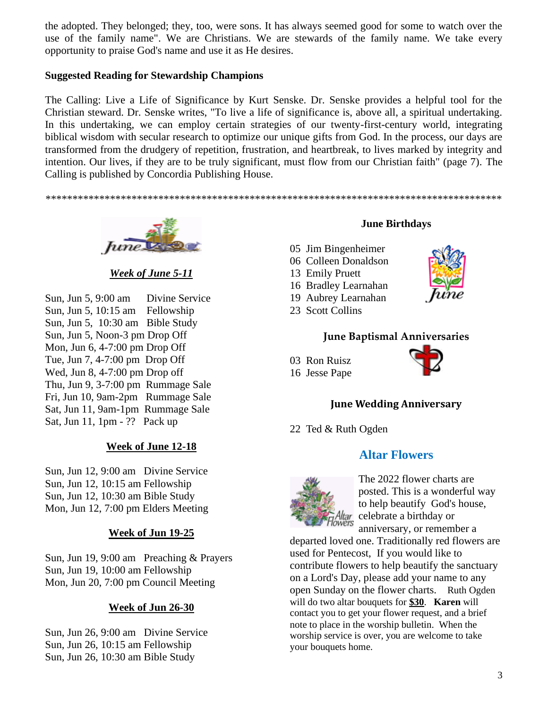the adopted. They belonged; they, too, were sons. It has always seemed good for some to watch over the use of the family name". We are Christians. We are stewards of the family name. We take every opportunity to praise God's name and use it as He desires.

#### **Suggested Reading for Stewardship Champions**

The Calling: Live a Life of Significance by Kurt Senske. Dr. Senske provides a helpful tool for the Christian steward. Dr. Senske writes, "To live a life of significance is, above all, a spiritual undertaking. In this undertaking, we can employ certain strategies of our twenty-first-century world, integrating biblical wisdom with secular research to optimize our unique gifts from God. In the process, our days are transformed from the drudgery of repetition, frustration, and heartbreak, to lives marked by integrity and intention. Our lives, if they are to be truly significant, must flow from our Christian faith" (page 7). The Calling is published by Concordia Publishing House.

*\*\*\*\*\*\*\*\*\*\*\*\*\*\*\*\*\*\*\*\*\*\*\*\*\*\*\*\*\*\*\*\*\*\*\*\*\*\*\*\*\*\*\*\*\*\*\*\*\*\*\*\*\*\*\*\*\*\*\*\*\*\*\*\*\*\*\*\*\*\*\*\*\*\*\*\*\*\*\*\*\*\*\*\*\**



*Week of June 5-11*

Sun, Jun 5, 9:00 am Divine Service Sun, Jun 5, 10:15 am Fellowship Sun, Jun 5, 10:30 am Bible Study Sun, Jun 5, Noon-3 pm Drop Off Mon, Jun 6, 4-7:00 pm Drop Off Tue, Jun 7, 4-7:00 pm Drop Off Wed, Jun 8, 4-7:00 pm Drop off Thu, Jun 9, 3-7:00 pm Rummage Sale Fri, Jun 10, 9am-2pm Rummage Sale Sat, Jun 11, 9am-1pm Rummage Sale Sat, Jun 11, 1pm - ?? Pack up

#### **Week of June 12-18**

Sun, Jun 12, 9:00 am Divine Service Sun, Jun 12, 10:15 am Fellowship Sun, Jun 12, 10:30 am Bible Study Mon, Jun 12, 7:00 pm Elders Meeting

#### **Week of Jun 19-25**

Sun, Jun 19, 9:00 am Preaching & Prayers Sun, Jun 19, 10:00 am Fellowship Mon, Jun 20, 7:00 pm Council Meeting

#### **Week of Jun 26-30**

Sun, Jun 26, 9:00 am Divine Service Sun, Jun 26, 10:15 am Fellowship Sun, Jun 26, 10:30 am Bible Study

#### **June Birthdays**

- 05 Jim Bingenheimer
- 06 Colleen Donaldson
- 13 Emily Pruett
- 16 Bradley Learnahan
- 19 Aubrey Learnahan
- 23 Scott Collins

#### **June Baptismal Anniversaries**

- 03 Ron Ruisz
- 16 Jesse Pape



#### **June Wedding Anniversary**

22 Ted & Ruth Ogden

#### **Altar Flowers**



The 2022 flower charts are posted. This is a wonderful way to help beautify God's house, tar celebrate a birthday or anniversary, or remember a

departed loved one. Traditionally red flowers are used for Pentecost, If you would like to contribute flowers to help beautify the sanctuary on a Lord's Day, please add your name to any open Sunday on the flower charts. Ruth Ogden will do two altar bouquets for **\$30**. **Karen** will contact you to get your flower request, and a brief note to place in the worship bulletin. When the worship service is over, you are welcome to take your bouquets home.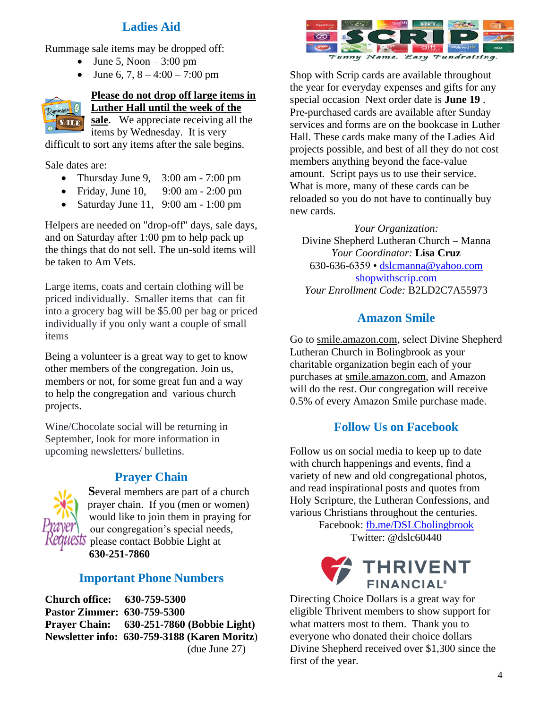## **Ladies Aid**

Rummage sale items may be dropped off:

- June 5, Noon  $-3:00$  pm
- June 6, 7,  $8 4:00 7:00$  pm



#### **Please do not drop off large items in Luther Hall until the week of the**

**sale**. We appreciate receiving all the items by Wednesday. It is very

difficult to sort any items after the sale begins.

Sale dates are:

- Thursday June 9,  $3:00$  am  $-7:00$  pm
- Friday, June 10, 9:00 am 2:00 pm
- Saturday June 11, 9:00 am 1:00 pm

Helpers are needed on "drop-off" days, sale days, and on Saturday after 1:00 pm to help pack up the things that do not sell. The un-sold items will be taken to Am Vets.

Large items, coats and certain clothing will be priced individually. Smaller items that can fit into a grocery bag will be \$5.00 per bag or priced individually if you only want a couple of small items

Being a volunteer is a great way to get to know other members of the congregation. Join us, members or not, for some great fun and a way to help the congregation and various church projects.

Wine/Chocolate social will be returning in September, look for more information in upcoming newsletters/ bulletins.

## **Prayer Chain**



**S**everal members are part of a church prayer chain. If you (men or women) would like to join them in praying for our congregation's special needs,  $\sqrt{\frac{1}{N}}$  please contact Bobbie Light at **630-251-7860**

## **Important Phone Numbers**

**Church office: 630-759-5300 Pastor Zimmer: 630-759-5300 Prayer Chain: 630-251-7860 (Bobbie Light) Newsletter info: 630-759-3188 (Karen Moritz**) (due June 27)



Shop with Scrip cards are available throughout the year for everyday expenses and gifts for any special occasion Next order date is **June 19** . Pre**-**purchased cards are available after Sunday services and forms are on the bookcase in Luther Hall. These cards make many of the Ladies Aid projects possible, and best of all they do not cost members anything beyond the face-value amount. Script pays us to use their service. What is more, many of these cards can be reloaded so you do not have to continually buy new cards.

*Your Organization:* Divine Shepherd Lutheran Church – Manna *Your Coordinator:* **Lisa Cruz** 630-636-6359 • [dslcmanna@yahoo.com](mailto:dslcmanna@yahoo.com%20%20shopwithscrip.com)  [shopwithscrip.com](mailto:dslcmanna@yahoo.com%20%20shopwithscrip.com) *Your Enrollment Code:* B2LD2C7A55973

## **Amazon Smile**

Go to [smile.amazon.com,](http://smile.amazon.com/) select Divine Shepherd Lutheran Church in Bolingbrook as your charitable organization begin each of your purchases at [smile.amazon.com,](http://smile.amazon.com/) and Amazon will do the rest. Our congregation will receive 0.5% of every Amazon Smile purchase made.

## **Follow Us on Facebook**

Follow us on social media to keep up to date with church happenings and events, find a variety of new and old congregational photos, and read inspirational posts and quotes from Holy Scripture, the Lutheran Confessions, and various Christians throughout the centuries.

Facebook: [fb.me/DSLCbolingbrook](http://fb.me/DSLCbolingbrook) Twitter: @dslc60440



Directing Choice Dollars is a great way for eligible Thrivent members to show support for what matters most to them. Thank you to everyone who donated their choice dollars – Divine Shepherd received over \$1,300 since the first of the year.